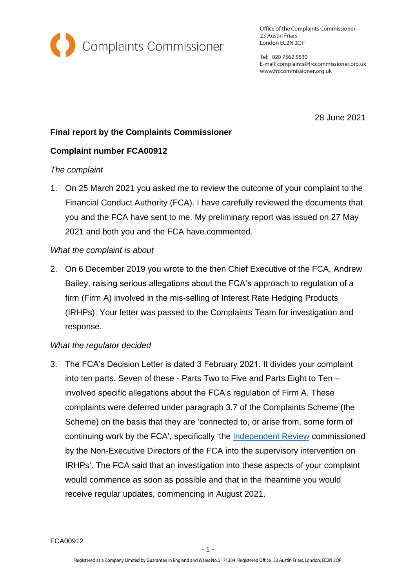

Office of the Complaints Commissioner 23 Austin Friars London EC2N 2QP

Tel: 020 7562 5530 E-mail: complaints@frccommissioner.org.uk www.frccommissioner.org.uk

28 June 2021

# **Final report by the Complaints Commissioner**

## **Complaint number FCA00912**

### *The complaint*

1. On 25 March 2021 you asked me to review the outcome of your complaint to the Financial Conduct Authority (FCA). I have carefully reviewed the documents that you and the FCA have sent to me. My preliminary report was issued on 27 May 2021 and both you and the FCA have commented.

### *What the complaint is about*

2. On 6 December 2019 you wrote to the then Chief Executive of the FCA, Andrew Bailey, raising serious allegations about the FCA's approach to regulation of a firm (Firm A) involved in the mis-selling of Interest Rate Hedging Products (IRHPs). Your letter was passed to the Complaints Team for investigation and response.

## *What the regulator decided*

3. The FCA's Decision Letter is dated 3 February 2021. It divides your complaint into ten parts. Seven of these - Parts Two to Five and Parts Eight to Ten – involved specific allegations about the FCA's regulation of Firm A. These complaints were deferred under paragraph 3.7 of the Complaints Scheme (the Scheme) on the basis that they are 'connected to, or arise from, some form of continuing work by the FCA', specifically 'the [Independent Review](https://www.fca.org.uk/transparency/independent-review-interest-rate-hedging-products) commissioned by the Non-Executive Directors of the FCA into the supervisory intervention on IRHPs'. The FCA said that an investigation into these aspects of your complaint would commence as soon as possible and that in the meantime you would receive regular updates, commencing in August 2021.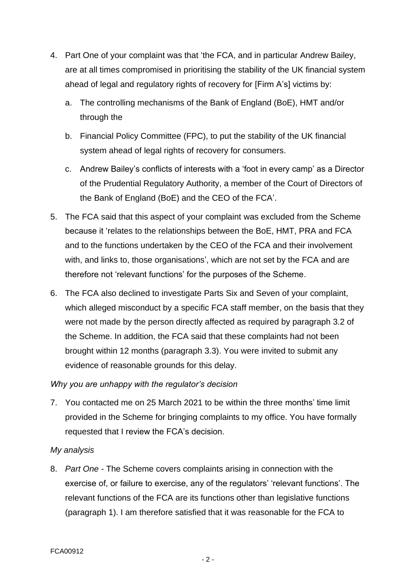- 4. Part One of your complaint was that 'the FCA, and in particular Andrew Bailey, are at all times compromised in prioritising the stability of the UK financial system ahead of legal and regulatory rights of recovery for [Firm A's] victims by:
	- a. The controlling mechanisms of the Bank of England (BoE), HMT and/or through the
	- b. Financial Policy Committee (FPC), to put the stability of the UK financial system ahead of legal rights of recovery for consumers.
	- c. Andrew Bailey's conflicts of interests with a 'foot in every camp' as a Director of the Prudential Regulatory Authority, a member of the Court of Directors of the Bank of England (BoE) and the CEO of the FCA'.
- 5. The FCA said that this aspect of your complaint was excluded from the Scheme because it 'relates to the relationships between the BoE, HMT, PRA and FCA and to the functions undertaken by the CEO of the FCA and their involvement with, and links to, those organisations', which are not set by the FCA and are therefore not 'relevant functions' for the purposes of the Scheme.
- 6. The FCA also declined to investigate Parts Six and Seven of your complaint, which alleged misconduct by a specific FCA staff member, on the basis that they were not made by the person directly affected as required by paragraph 3.2 of the Scheme. In addition, the FCA said that these complaints had not been brought within 12 months (paragraph 3.3). You were invited to submit any evidence of reasonable grounds for this delay.

## *Why you are unhappy with the regulator's decision*

7. You contacted me on 25 March 2021 to be within the three months' time limit provided in the Scheme for bringing complaints to my office. You have formally requested that I review the FCA's decision.

#### *My analysis*

8. *Part One -* The Scheme covers complaints arising in connection with the exercise of, or failure to exercise, any of the regulators' 'relevant functions'. The relevant functions of the FCA are its functions other than legislative functions (paragraph 1). I am therefore satisfied that it was reasonable for the FCA to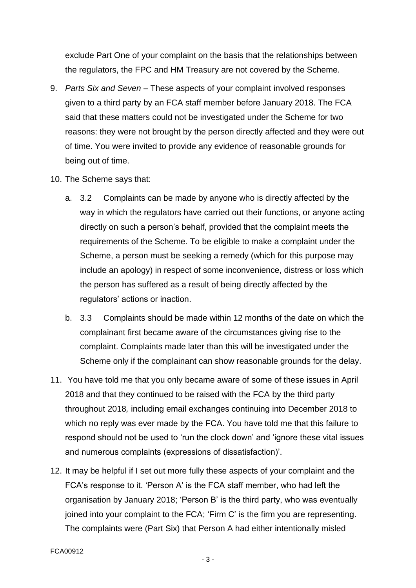exclude Part One of your complaint on the basis that the relationships between the regulators, the FPC and HM Treasury are not covered by the Scheme.

- 9. *Parts Six and Seven* These aspects of your complaint involved responses given to a third party by an FCA staff member before January 2018. The FCA said that these matters could not be investigated under the Scheme for two reasons: they were not brought by the person directly affected and they were out of time. You were invited to provide any evidence of reasonable grounds for being out of time.
- 10. The Scheme says that:
	- a. 3.2 Complaints can be made by anyone who is directly affected by the way in which the regulators have carried out their functions, or anyone acting directly on such a person's behalf, provided that the complaint meets the requirements of the Scheme. To be eligible to make a complaint under the Scheme, a person must be seeking a remedy (which for this purpose may include an apology) in respect of some inconvenience, distress or loss which the person has suffered as a result of being directly affected by the regulators' actions or inaction.
	- b. 3.3 Complaints should be made within 12 months of the date on which the complainant first became aware of the circumstances giving rise to the complaint. Complaints made later than this will be investigated under the Scheme only if the complainant can show reasonable grounds for the delay.
- 11. You have told me that you only became aware of some of these issues in April 2018 and that they continued to be raised with the FCA by the third party throughout 2018*,* including email exchanges continuing into December 2018 to which no reply was ever made by the FCA. You have told me that this failure to respond should not be used to 'run the clock down' and 'ignore these vital issues and numerous complaints (expressions of dissatisfaction)'.
- 12. It may be helpful if I set out more fully these aspects of your complaint and the FCA's response to it. 'Person A' is the FCA staff member, who had left the organisation by January 2018; 'Person B' is the third party, who was eventually joined into your complaint to the FCA; 'Firm C' is the firm you are representing. The complaints were (Part Six) that Person A had either intentionally misled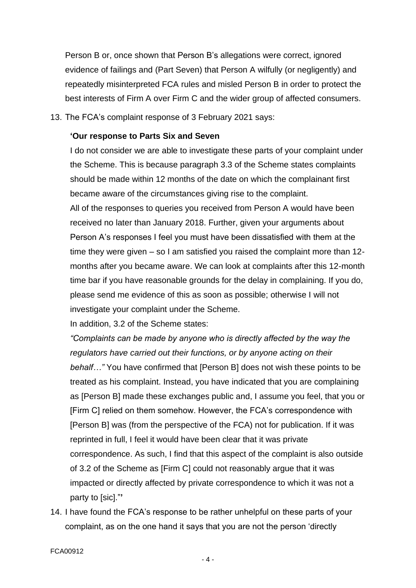Person B or, once shown that Person B's allegations were correct, ignored evidence of failings and (Part Seven) that Person A wilfully (or negligently) and repeatedly misinterpreted FCA rules and misled Person B in order to protect the best interests of Firm A over Firm C and the wider group of affected consumers.

13. The FCA's complaint response of 3 February 2021 says:

#### **'Our response to Parts Six and Seven**

I do not consider we are able to investigate these parts of your complaint under the Scheme. This is because paragraph 3.3 of the Scheme states complaints should be made within 12 months of the date on which the complainant first became aware of the circumstances giving rise to the complaint. All of the responses to queries you received from Person A would have been received no later than January 2018. Further, given your arguments about Person A's responses I feel you must have been dissatisfied with them at the time they were given – so I am satisfied you raised the complaint more than 12 months after you became aware. We can look at complaints after this 12-month time bar if you have reasonable grounds for the delay in complaining. If you do, please send me evidence of this as soon as possible; otherwise I will not investigate your complaint under the Scheme.

In addition, 3.2 of the Scheme states:

*"Complaints can be made by anyone who is directly affected by the way the regulators have carried out their functions, or by anyone acting on their behalf…"* You have confirmed that [Person B] does not wish these points to be treated as his complaint. Instead, you have indicated that you are complaining as [Person B] made these exchanges public and, I assume you feel, that you or [Firm C] relied on them somehow. However, the FCA's correspondence with [Person B] was (from the perspective of the FCA) not for publication. If it was reprinted in full, I feel it would have been clear that it was private correspondence. As such, I find that this aspect of the complaint is also outside of 3.2 of the Scheme as [Firm C] could not reasonably argue that it was impacted or directly affected by private correspondence to which it was not a party to [sic]."**'**

14. I have found the FCA's response to be rather unhelpful on these parts of your complaint, as on the one hand it says that you are not the person 'directly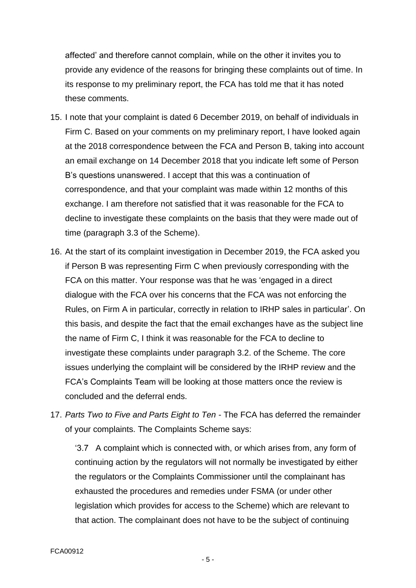affected' and therefore cannot complain, while on the other it invites you to provide any evidence of the reasons for bringing these complaints out of time. In its response to my preliminary report, the FCA has told me that it has noted these comments.

- 15. I note that your complaint is dated 6 December 2019, on behalf of individuals in Firm C. Based on your comments on my preliminary report, I have looked again at the 2018 correspondence between the FCA and Person B, taking into account an email exchange on 14 December 2018 that you indicate left some of Person B's questions unanswered. I accept that this was a continuation of correspondence, and that your complaint was made within 12 months of this exchange. I am therefore not satisfied that it was reasonable for the FCA to decline to investigate these complaints on the basis that they were made out of time (paragraph 3.3 of the Scheme).
- 16. At the start of its complaint investigation in December 2019, the FCA asked you if Person B was representing Firm C when previously corresponding with the FCA on this matter. Your response was that he was 'engaged in a direct dialogue with the FCA over his concerns that the FCA was not enforcing the Rules, on Firm A in particular, correctly in relation to IRHP sales in particular'. On this basis, and despite the fact that the email exchanges have as the subject line the name of Firm C, I think it was reasonable for the FCA to decline to investigate these complaints under paragraph 3.2. of the Scheme. The core issues underlying the complaint will be considered by the IRHP review and the FCA's Complaints Team will be looking at those matters once the review is concluded and the deferral ends.
- 17. *Parts Two to Five and Parts Eight to Ten* The FCA has deferred the remainder of your complaints. The Complaints Scheme says:

'3.7 A complaint which is connected with, or which arises from, any form of continuing action by the regulators will not normally be investigated by either the regulators or the Complaints Commissioner until the complainant has exhausted the procedures and remedies under FSMA (or under other legislation which provides for access to the Scheme) which are relevant to that action. The complainant does not have to be the subject of continuing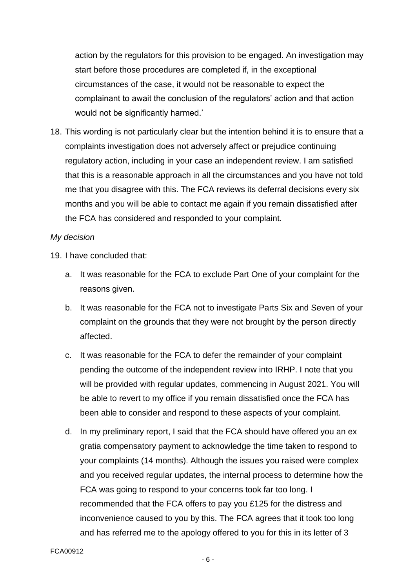action by the regulators for this provision to be engaged. An investigation may start before those procedures are completed if, in the exceptional circumstances of the case, it would not be reasonable to expect the complainant to await the conclusion of the regulators' action and that action would not be significantly harmed.'

18. This wording is not particularly clear but the intention behind it is to ensure that a complaints investigation does not adversely affect or prejudice continuing regulatory action, including in your case an independent review. I am satisfied that this is a reasonable approach in all the circumstances and you have not told me that you disagree with this. The FCA reviews its deferral decisions every six months and you will be able to contact me again if you remain dissatisfied after the FCA has considered and responded to your complaint.

#### *My decision*

19. I have concluded that:

- a. It was reasonable for the FCA to exclude Part One of your complaint for the reasons given.
- b. It was reasonable for the FCA not to investigate Parts Six and Seven of your complaint on the grounds that they were not brought by the person directly affected.
- c. It was reasonable for the FCA to defer the remainder of your complaint pending the outcome of the independent review into IRHP. I note that you will be provided with regular updates, commencing in August 2021. You will be able to revert to my office if you remain dissatisfied once the FCA has been able to consider and respond to these aspects of your complaint.
- d. In my preliminary report, I said that the FCA should have offered you an ex gratia compensatory payment to acknowledge the time taken to respond to your complaints (14 months). Although the issues you raised were complex and you received regular updates, the internal process to determine how the FCA was going to respond to your concerns took far too long. I recommended that the FCA offers to pay you £125 for the distress and inconvenience caused to you by this. The FCA agrees that it took too long and has referred me to the apology offered to you for this in its letter of 3